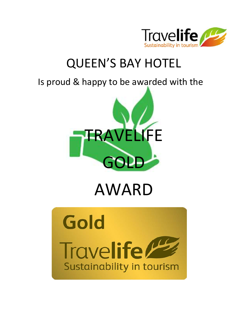

# QUEEN'S BAY HOTEL

## Is proud & happy to be awarded with the



# AWARD

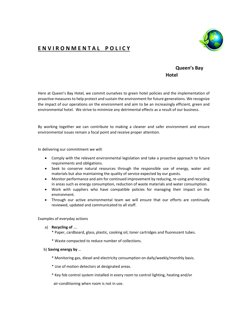### E N V I R O N M E N T A L P O L I C Y



#### Queen's Bay **Hotel**

Here at Queen's Bay Hotel, we commit ourselves to green hotel policies and the implementation of proactive measures to help protect and sustain the environment for future generations. We recognize the impact of our operations on the environment and aim to be an increasingly efficient, green and environmental hotel. We strive to minimize any detrimental effects as a result of our business.

By working together we can contribute to making a cleaner and safer environment and ensure environmental issues remain a focal point and receive proper attention.

In delivering our commitment we will:

- Comply with the relevant environmental legislation and take a proactive approach to future requirements and obligations.
- Seek to conserve natural resources through the responsible use of energy, water and materials but also maintaining the quality of service expected by our guests.
- Monitor performance and aim for continued improvement by reducing, re-using and recycling in areas such as energy consumption, reduction of waste materials and water consumption.
- Work with suppliers who have compatible policies for managing their impact on the environment.
- Through our active environmental team we will ensure that our efforts are continually reviewed, updated and communicated to all staff.

Examples of everyday actions

- a) Recycling of ….
	- \* Paper, cardboard, glass, plastic, cooking oil, toner cartridges and fluorescent tubes.
	- \* Waste compacted to reduce number of collections.

#### b) Saving energy by …

- \* Monitoring gas, diesel and electricity consumption on daily/weekly/monthly basis.
- \* Use of motion detectors at designated areas.
- \* Key fob control system installed in every room to control lighting, heating and/or

air-conditioning when room is not in use.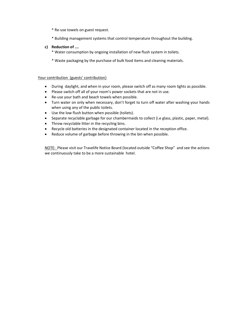- \* Re-use towels on guest request.
- \* Building management systems that control temperature throughout the building.

#### c) Reduction of ….

- \* Water consumption by ongoing installation of new flush system in toilets.
- \* Waste packaging by the purchase of bulk food items and cleaning materials.

#### Your contribution (guests' contribution)

- During daylight, and when in your room, please switch off as many room lights as possible.
- Please switch off all of your room's power sockets that are not in use.
- Re-use your bath and beach towels when possible.
- Turn water on only when necessary, don't forget to turn off water after washing your hands when using any of the public toilets.
- Use the low flush button when possible (toilets).
- Separate recyclable garbage for our chambermaids to collect (i.e glass, plastic, paper, metal).
- Throw recyclable litter in the recycling bins.
- Recycle old batteries in the designated container located in the reception office.
- Reduce volume of garbage before throwing in the bin when possible.

NOTE: Please visit our Travelife Notice Board (located outside "Coffee Shop" and see the actions we continuously take to be a more sustainable hotel.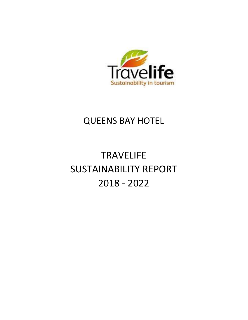

## QUEENS BAY HOTEL

# **TRAVELIFE** SUSTAINABILITY REPORT 2018 - 2022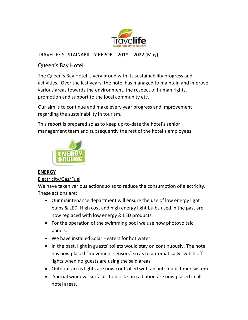

#### TRAVELIFE SUSTAINABILITY REPORT 2018 – 2022 (May)

#### Queen's Bay Hotel

The Queen's Bay Hotel is very proud with its sustainability progress and activities. Over the last years, the hotel has managed to maintain and improve various areas towards the environment, the respect of human rights, promotion and support to the local community etc.

Our aim is to continue and make every year progress and improvement regarding the sustainability in tourism.

This report is prepared so as to keep up-to-date the hotel's senior management team and subsequently the rest of the hotel's employees.



#### ENERGY

#### Electricity/Gas/Fuel

We have taken various actions so as to reduce the consumption of electricity. These actions are:

- Our maintenance department will ensure the use of low energy light bulbs & LED. High cost and high energy light bulbs used in the past are now replaced with low energy & LED products.
- For the operation of the swimming pool we use now photovoltaic panels.
- We have installed Solar Heaters for hot water.
- In the past, light in guests' toilets would stay on continuously. The hotel has now placed "movement sensors" so as to automatically switch off lights when no guests are using the said areas.
- Outdoor areas lights are now controlled with an automatic timer system.
- Special windows surfaces to block sun radiation are now placed in all hotel areas.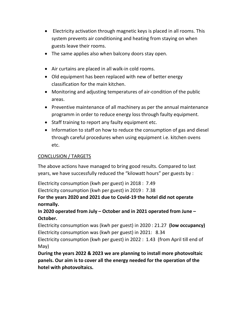- Electricity activation through magnetic keys is placed in all rooms. This system prevents air conditioning and heating from staying on when guests leave their rooms.
- The same applies also when balcony doors stay open.
- Air curtains are placed in all walk-in cold rooms.
- Old equipment has been replaced with new of better energy classification for the main kitchen.
- Monitoring and adjusting temperatures of air-condition of the public areas.
- Preventive maintenance of all machinery as per the annual maintenance programm in order to reduce energy loss through faulty equipment.
- Staff training to report any faulty equipment etc.
- Information to staff on how to reduce the consumption of gas and diesel through careful procedures when using equipment i.e. kitchen ovens etc.

#### CONCLUSION / TARGETS

The above actions have managed to bring good results. Compared to last years, we have successfully reduced the "kilowatt hours" per guests by :

Electricity consumption (kwh per guest) in 2018 : 7.49 Electricity consumption (kwh per guest) in 2019 : 7.38

For the years 2020 and 2021 due to Covid-19 the hotel did not operate normally.

In 2020 operated from July – October and in 2021 operated from June – October.

Electricity consumption was (kwh per guest) in 2020 : 21.27 (low occupancy) Electricity consumption was (kwh per guest) in 2021: 8.34

Electricity consumption (kwh per guest) in 2022 : 1.43 (from April till end of May)

During the years 2022 & 2023 we are planning to install more photovoltaic panels. Our aim is to cover all the energy needed for the operation of the hotel with photovoltaics.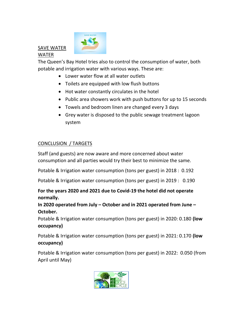## SAVE WATER WATER



The Queen's Bay Hotel tries also to control the consumption of water, both potable and irrigation water with various ways. These are:

- Lower water flow at all water outlets
- Toilets are equipped with low flush buttons
- Hot water constantly circulates in the hotel
- Public area showers work with push buttons for up to 15 seconds
- Towels and bedroom linen are changed every 3 days
- Grey water is disposed to the public sewage treatment lagoon system

### CONCLUSION / TARGETS

Staff (and guests) are now aware and more concerned about water consumption and all parties would try their best to minimize the same.

Potable & Irrigation water consumption (tons per guest) in 2018 : 0.192

Potable & Irrigation water consumption (tons per guest) in 2019 : 0.190

For the years 2020 and 2021 due to Covid-19 the hotel did not operate normally.

#### In 2020 operated from July – October and in 2021 operated from June – October.

Potable & Irrigation water consumption (tons per guest) in 2020: 0.180 (low occupancy)

Potable & Irrigation water consumption (tons per guest) in 2021: 0.170 (low occupancy)

Potable & Irrigation water consumption (tons per guest) in 2022: 0.050 (from April until May)

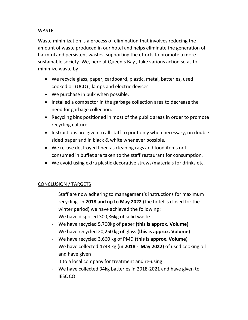#### WASTE

Waste minimization is a process of elimination that involves reducing the amount of waste produced in our hotel and helps eliminate the generation of harmful and persistent wastes, supporting the efforts to promote a more sustainable society. We, here at Queen's Bay , take various action so as to minimize waste by :

- We recycle glass, paper, cardboard, plastic, metal, batteries, used cooked oil (UCO) , lamps and electric devices.
- We purchase in bulk when possible.
- Installed a compactor in the garbage collection area to decrease the need for garbage collection.
- Recycling bins positioned in most of the public areas in order to promote recycling culture.
- Instructions are given to all staff to print only when necessary, on double sided paper and in black & white whenever possible.
- We re-use destroyed linen as cleaning rags and food items not consumed in buffet are taken to the staff restaurant for consumption.
- We avoid using extra plastic decorative straws/materials for drinks etc.

#### CONCLUSION / TARGETS

- Staff are now adhering to management's instructions for maximum recycling. In 2018 and up to May 2022 (the hotel is closed for the winter period) we have achieved the following :
- We have disposed 300,86kg of solid waste
- We have recycled 5,700kg of paper (this is approx. Volume)
- We have recycled 20,250 kg of glass (this is approx. Volume)
- We have recycled 3,660 kg of PMD (this is approx. Volume)
- We have collected 4748 kg (in 2018 May 2022) of used cooking oil and have given
	- it to a local company for treatment and re-using .
- We have collected 34kg batteries in 2018-2021 and have given to IESC CO.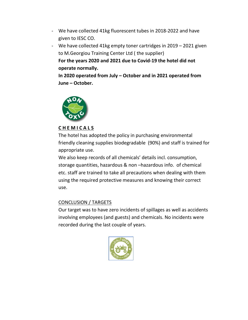- We have collected 41kg fluorescent tubes in 2018-2022 and have given to IESC CO.
- We have collected 41kg empty toner cartridges in 2019 2021 given to M.Georgiou Training Center Ltd ( the supplier) For the years 2020 and 2021 due to Covid-19 the hotel did not operate normally.

In 2020 operated from July – October and in 2021 operated from June – October.



#### C H E M I C A L S

The hotel has adopted the policy in purchasing environmental friendly cleaning supplies biodegradable (90%) and staff is trained for appropriate use.

We also keep records of all chemicals' details incl. consumption, storage quantities, hazardous & non –hazardous info. of chemical etc. staff are trained to take all precautions when dealing with them using the required protective measures and knowing their correct use.

#### CONCLUSION / TARGETS

Our target was to have zero incidents of spillages as well as accidents involving employees (and guests) and chemicals. No incidents were recorded during the last couple of years.

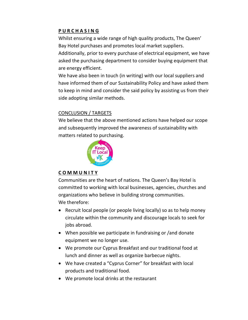#### P U R C H A S I N G

Whilst ensuring a wide range of high quality products, The Queen' Bay Hotel purchases and promotes local market suppliers. Additionally, prior to every purchase of electrical equipment, we have asked the purchasing department to consider buying equipment that are energy efficient.

We have also been in touch (in writing) with our local suppliers and have informed them of our Sustainability Policy and have asked them to keep in mind and consider the said policy by assisting us from their side adopting similar methods.

#### CONCLUSION / TARGETS

We believe that the above mentioned actions have helped our scope and subsequently improved the awareness of sustainability with matters related to purchasing.



#### C O M M U N I T Y

Communities are the heart of nations. The Queen's Bay Hotel is committed to working with local businesses, agencies, churches and organizations who believe in building strong communities. We therefore:

- Recruit local people (or people living locally) so as to help money circulate within the community and discourage locals to seek for jobs abroad.
- When possible we participate in fundraising or /and donate equipment we no longer use.
- We promote our Cyprus Breakfast and our traditional food at lunch and dinner as well as organize barbecue nights.
- We have created a "Cyprus Corner" for breakfast with local products and traditional food.
- We promote local drinks at the restaurant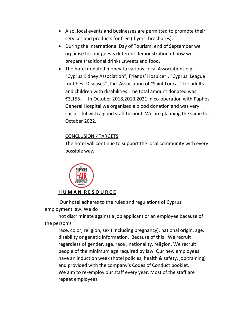- Also, local events and businesses are permitted to promote their services and products for free ( flyers, brochures).
- During the International Day of Tourism, end of September we organise for our guests different demonstration of how we prepare traditional drinks ,sweets and food.
- The hotel donated money to various local Associations e.g. "Cyprus Kidney Association", Friends' Hospice" , "Cyprus League for Chest Diseases" ,the Association of "Saint Loucas" for adults and children with disabilities. The total amount donated was €3,155.- . In October 2018,2019,2021 in co-operation with Paphos General Hospital we organised a blood donation and was very successful with a good staff turnout. We are planning the same for October 2022.

#### CONCLUSION / TARGETS

The hotel will continue to support the local community with every possible way.



 Our hotel adheres to the rules and regulations of Cyprus' employment law. We do

not discriminate against a job applicant or an employee because of the person's

race, color, religion, sex ( including pregnancy), national origin, age, disability or genetic information. Because of this : We recruit regardless of gender, age, race , nationality, religion. We recruit people of the minimum age required by law. Our new employees have an induction week (hotel policies, health & safety, job training) and provided with the company's Codes of Conduct booklet. We aim to re-employ our staff every year. Most of the staff are repeat employees.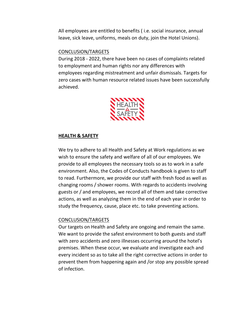All employees are entitled to benefits ( i.e. social insurance, annual leave, sick leave, uniforms, meals on duty, join the Hotel Unions).

#### CONCLUSION/TARGETS

During 2018 - 2022, there have been no cases of complaints related to employment and human rights nor any differences with employees regarding mistreatment and unfair dismissals. Targets for zero cases with human resource related issues have been successfully achieved.



#### HEALTH & SAFETY

We try to adhere to all Health and Safety at Work regulations as we wish to ensure the safety and welfare of all of our employees. We provide to all employees the necessary tools so as to work in a safe environment. Also, the Codes of Conducts handbook is given to staff to read. Furthermore, we provide our staff with fresh food as well as changing rooms / shower rooms. With regards to accidents involving guests or / and employees, we record all of them and take corrective actions, as well as analyzing them in the end of each year in order to study the frequency, cause, place etc. to take preventing actions.

#### CONCLUSION/TARGETS

Our targets on Health and Safety are ongoing and remain the same. We want to provide the safest environment to both guests and staff with zero accidents and zero illnesses occurring around the hotel's premises. When these occur, we evaluate and investigate each and every incident so as to take all the right corrective actions in order to prevent them from happening again and /or stop any possible spread of infection.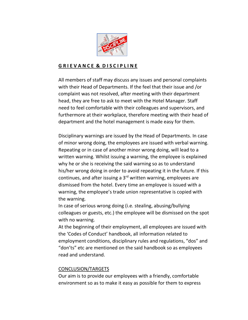

#### G R I E V A N C E & D I S C I P L I N E

All members of staff may discuss any issues and personal complaints with their Head of Departments. If the feel that their issue and /or complaint was not resolved, after meeting with their department head, they are free to ask to meet with the Hotel Manager. Staff need to feel comfortable with their colleagues and supervisors, and furthermore at their workplace, therefore meeting with their head of department and the hotel management is made easy for them.

Disciplinary warnings are issued by the Head of Departments. In case of minor wrong doing, the employees are issued with verbal warning. Repeating or in case of another minor wrong doing, will lead to a written warning. Whilst issuing a warning, the employee is explained why he or she is receiving the said warning so as to understand his/her wrong doing in order to avoid repeating it in the future. If this continues, and after issuing a  $3<sup>rd</sup>$  written warning, employees are dismissed from the hotel. Every time an employee is issued with a warning, the employee's trade union representative is copied with the warning.

In case of serious wrong doing (i.e. stealing, abusing/bullying colleagues or guests, etc.) the employee will be dismissed on the spot with no warning.

At the beginning of their employment, all employees are issued with the 'Codes of Conduct' handbook, all information related to employment conditions, disciplinary rules and regulations, "dos" and "don'ts" etc are mentioned on the said handbook so as employees read and understand.

#### CONCLUSION/TARGETS

Our aim is to provide our employees with a friendly, comfortable environment so as to make it easy as possible for them to express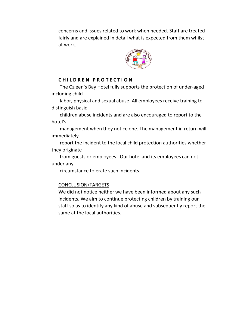concerns and issues related to work when needed. Staff are treated fairly and are explained in detail what is expected from them whilst at work.



#### CHILDREN PROTECTION

The Queen's Bay Hotel fully supports the protection of under-aged including child

labor, physical and sexual abuse. All employees receive training to distinguish basic

children abuse incidents and are also encouraged to report to the hotel's

management when they notice one. The management in return will immediately

report the incident to the local child protection authorities whether they originate

from guests or employees. Our hotel and its employees can not under any

circumstance tolerate such incidents.

#### CONCLUSION/TARGETS

We did not notice neither we have been informed about any such incidents. We aim to continue protecting children by training our staff so as to identify any kind of abuse and subsequently report the same at the local authorities.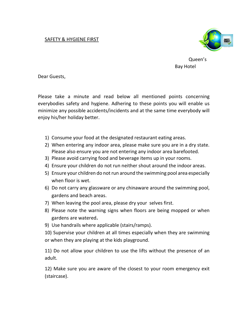#### SAFETY & HYGIENE FIRST



Queen's Bay Hotel

Dear Guests,

Please take a minute and read below all mentioned points concerning everybodies safety and hygiene. Adhering to these points you will enable us minimize any possible accidents/incidents and at the same time everybody will enjoy his/her holiday better.

- 1) Consume your food at the designated restaurant eating areas.
- 2) When entering any indoor area, please make sure you are in a dry state. Please also ensure you are not entering any indoor area barefooted.
- 3) Please avoid carrying food and beverage items up in your rooms.
- 4) Ensure your children do not run neither shout around the indoor areas.
- 5) Ensure your children do not run around the swimming pool area especially when floor is wet.
- 6) Do not carry any glassware or any chinaware around the swimming pool, gardens and beach areas.
- 7) When leaving the pool area, please dry your selves first.
- 8) Please note the warning signs when floors are being mopped or when gardens are watered.
- 9) Use handrails where applicable (stairs/ramps).

10) Supervise your children at all times especially when they are swimming or when they are playing at the kids playground.

11) Do not allow your children to use the lifts without the presence of an adult.

12) Make sure you are aware of the closest to your room emergency exit (staircase).